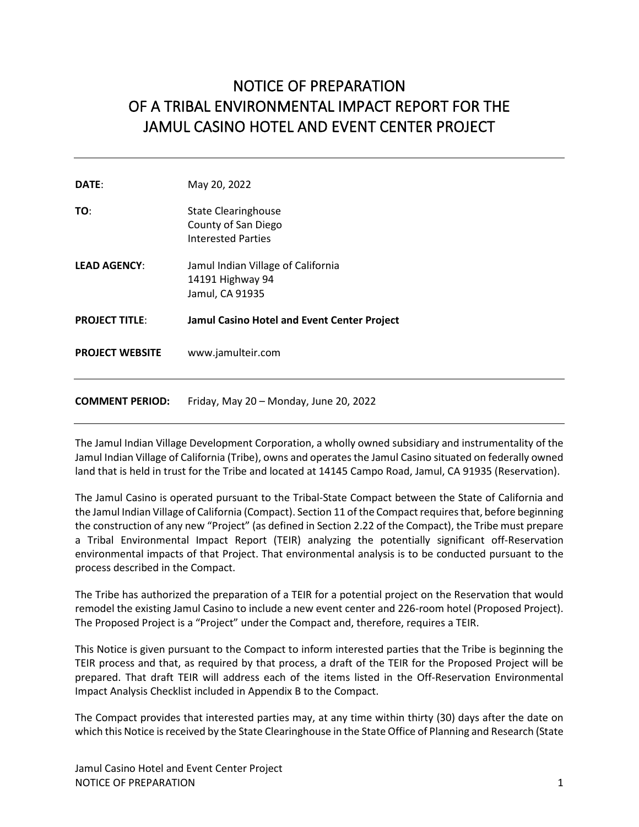# NOTICE OF PREPARATION OF A TRIBAL ENVIRONMENTAL IMPACT REPORT FOR THE JAMUL CASINO HOTEL AND EVENT CENTER PROJECT

| DATE:                  | May 20, 2022                                                                   |
|------------------------|--------------------------------------------------------------------------------|
| TO:                    | <b>State Clearinghouse</b><br>County of San Diego<br><b>Interested Parties</b> |
| <b>LEAD AGENCY:</b>    | Jamul Indian Village of California<br>14191 Highway 94<br>Jamul, CA 91935      |
| <b>PROJECT TITLE:</b>  | Jamul Casino Hotel and Event Center Project                                    |
| <b>PROJECT WEBSITE</b> | www.jamulteir.com                                                              |
| <b>COMMENT PERIOD:</b> | Friday, May 20 - Monday, June 20, 2022                                         |

The Jamul Indian Village Development Corporation, a wholly owned subsidiary and instrumentality of the Jamul Indian Village of California (Tribe), owns and operates the Jamul Casino situated on federally owned land that is held in trust for the Tribe and located at 14145 Campo Road, Jamul, CA 91935 (Reservation).

The Jamul Casino is operated pursuant to the Tribal-State Compact between the State of California and the Jamul Indian Village of California (Compact). Section 11 of the Compact requires that, before beginning the construction of any new "Project" (as defined in Section 2.22 of the Compact), the Tribe must prepare a Tribal Environmental Impact Report (TEIR) analyzing the potentially significant off-Reservation environmental impacts of that Project. That environmental analysis is to be conducted pursuant to the process described in the Compact.

The Tribe has authorized the preparation of a TEIR for a potential project on the Reservation that would remodel the existing Jamul Casino to include a new event center and 226-room hotel (Proposed Project). The Proposed Project is a "Project" under the Compact and, therefore, requires a TEIR.

This Notice is given pursuant to the Compact to inform interested parties that the Tribe is beginning the TEIR process and that, as required by that process, a draft of the TEIR for the Proposed Project will be prepared. That draft TEIR will address each of the items listed in the Off-Reservation Environmental Impact Analysis Checklist included in Appendix B to the Compact.

The Compact provides that interested parties may, at any time within thirty (30) days after the date on which this Notice is received by the State Clearinghouse in the State Office of Planning and Research (State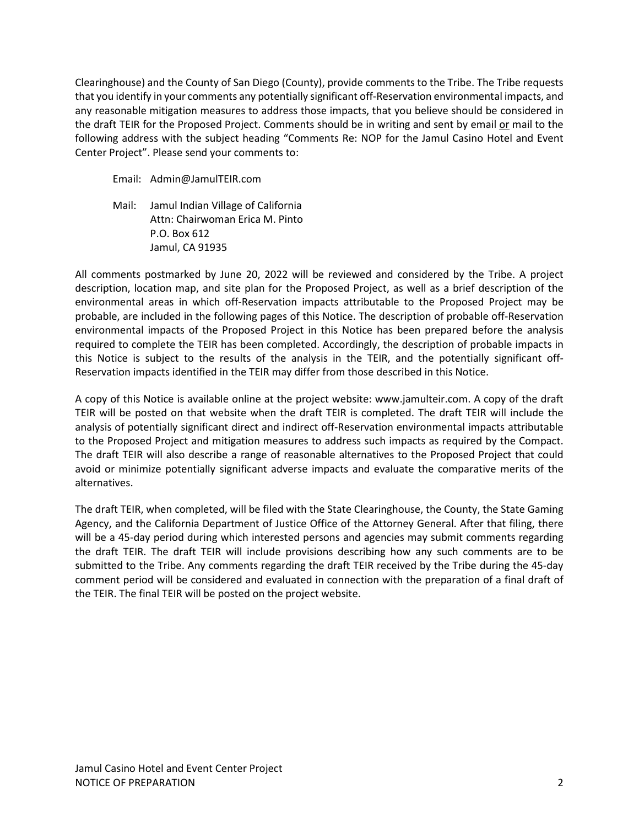Clearinghouse) and the County of San Diego (County), provide comments to the Tribe. The Tribe requests that you identify in your comments any potentially significant off-Reservation environmental impacts, and any reasonable mitigation measures to address those impacts, that you believe should be considered in the draft TEIR for the Proposed Project. Comments should be in writing and sent by email or mail to the following address with the subject heading "Comments Re: NOP for the Jamul Casino Hotel and Event Center Project". Please send your comments to:

Email: Admin@JamulTEIR.com

Mail: Jamul Indian Village of California Attn: Chairwoman Erica M. Pinto P.O. Box 612 Jamul, CA 91935

All comments postmarked by June 20, 2022 will be reviewed and considered by the Tribe. A project description, location map, and site plan for the Proposed Project, as well as a brief description of the environmental areas in which off-Reservation impacts attributable to the Proposed Project may be probable, are included in the following pages of this Notice. The description of probable off-Reservation environmental impacts of the Proposed Project in this Notice has been prepared before the analysis required to complete the TEIR has been completed. Accordingly, the description of probable impacts in this Notice is subject to the results of the analysis in the TEIR, and the potentially significant off-Reservation impacts identified in the TEIR may differ from those described in this Notice.

A copy of this Notice is available online at the project website: www.jamulteir.com. A copy of the draft TEIR will be posted on that website when the draft TEIR is completed. The draft TEIR will include the analysis of potentially significant direct and indirect off-Reservation environmental impacts attributable to the Proposed Project and mitigation measures to address such impacts as required by the Compact. The draft TEIR will also describe a range of reasonable alternatives to the Proposed Project that could avoid or minimize potentially significant adverse impacts and evaluate the comparative merits of the alternatives.

The draft TEIR, when completed, will be filed with the State Clearinghouse, the County, the State Gaming Agency, and the California Department of Justice Office of the Attorney General. After that filing, there will be a 45-day period during which interested persons and agencies may submit comments regarding the draft TEIR. The draft TEIR will include provisions describing how any such comments are to be submitted to the Tribe. Any comments regarding the draft TEIR received by the Tribe during the 45-day comment period will be considered and evaluated in connection with the preparation of a final draft of the TEIR. The final TEIR will be posted on the project website.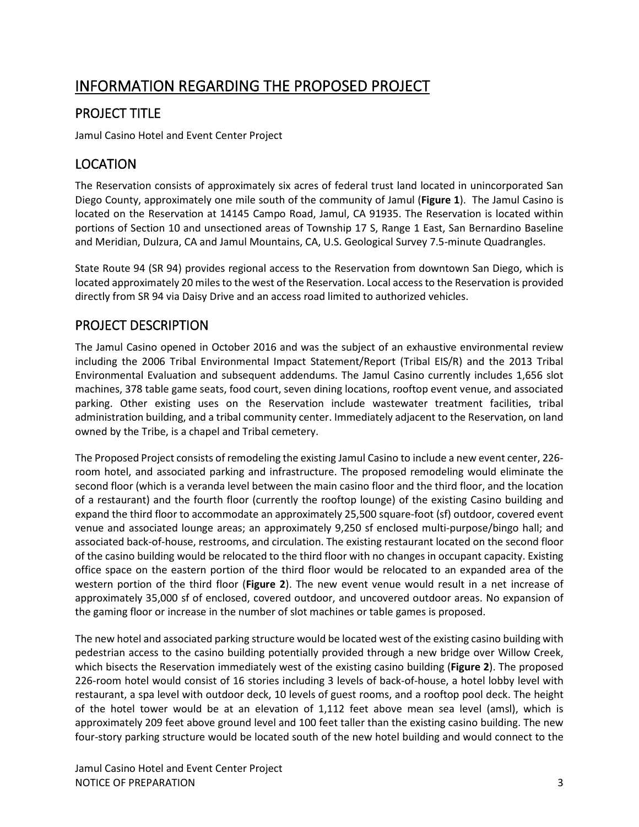# INFORMATION REGARDING THE PROPOSED PROJECT

### PROJECT TITLE

Jamul Casino Hotel and Event Center Project

### LOCATION

The Reservation consists of approximately six acres of federal trust land located in unincorporated San Diego County, approximately one mile south of the community of Jamul (**Figure 1**). The Jamul Casino is located on the Reservation at 14145 Campo Road, Jamul, CA 91935. The Reservation is located within portions of Section 10 and unsectioned areas of Township 17 S, Range 1 East, San Bernardino Baseline and Meridian, Dulzura, CA and Jamul Mountains, CA, U.S. Geological Survey 7.5-minute Quadrangles.

State Route 94 (SR 94) provides regional access to the Reservation from downtown San Diego, which is located approximately 20 miles to the west of the Reservation. Local access to the Reservation is provided directly from SR 94 via Daisy Drive and an access road limited to authorized vehicles.

#### PROJECT DESCRIPTION

The Jamul Casino opened in October 2016 and was the subject of an exhaustive environmental review including the 2006 Tribal Environmental Impact Statement/Report (Tribal EIS/R) and the 2013 Tribal Environmental Evaluation and subsequent addendums. The Jamul Casino currently includes 1,656 slot machines, 378 table game seats, food court, seven dining locations, rooftop event venue, and associated parking. Other existing uses on the Reservation include wastewater treatment facilities, tribal administration building, and a tribal community center. Immediately adjacent to the Reservation, on land owned by the Tribe, is a chapel and Tribal cemetery.

The Proposed Project consists of remodeling the existing Jamul Casino to include a new event center, 226 room hotel, and associated parking and infrastructure. The proposed remodeling would eliminate the second floor (which is a veranda level between the main casino floor and the third floor, and the location of a restaurant) and the fourth floor (currently the rooftop lounge) of the existing Casino building and expand the third floor to accommodate an approximately 25,500 square-foot (sf) outdoor, covered event venue and associated lounge areas; an approximately 9,250 sf enclosed multi-purpose/bingo hall; and associated back-of-house, restrooms, and circulation. The existing restaurant located on the second floor of the casino building would be relocated to the third floor with no changes in occupant capacity. Existing office space on the eastern portion of the third floor would be relocated to an expanded area of the western portion of the third floor (**Figure 2**). The new event venue would result in a net increase of approximately 35,000 sf of enclosed, covered outdoor, and uncovered outdoor areas. No expansion of the gaming floor or increase in the number of slot machines or table games is proposed.

The new hotel and associated parking structure would be located west of the existing casino building with pedestrian access to the casino building potentially provided through a new bridge over Willow Creek, which bisects the Reservation immediately west of the existing casino building (**Figure 2**). The proposed 226-room hotel would consist of 16 stories including 3 levels of back-of-house, a hotel lobby level with restaurant, a spa level with outdoor deck, 10 levels of guest rooms, and a rooftop pool deck. The height of the hotel tower would be at an elevation of 1,112 feet above mean sea level (amsl), which is approximately 209 feet above ground level and 100 feet taller than the existing casino building. The new four-story parking structure would be located south of the new hotel building and would connect to the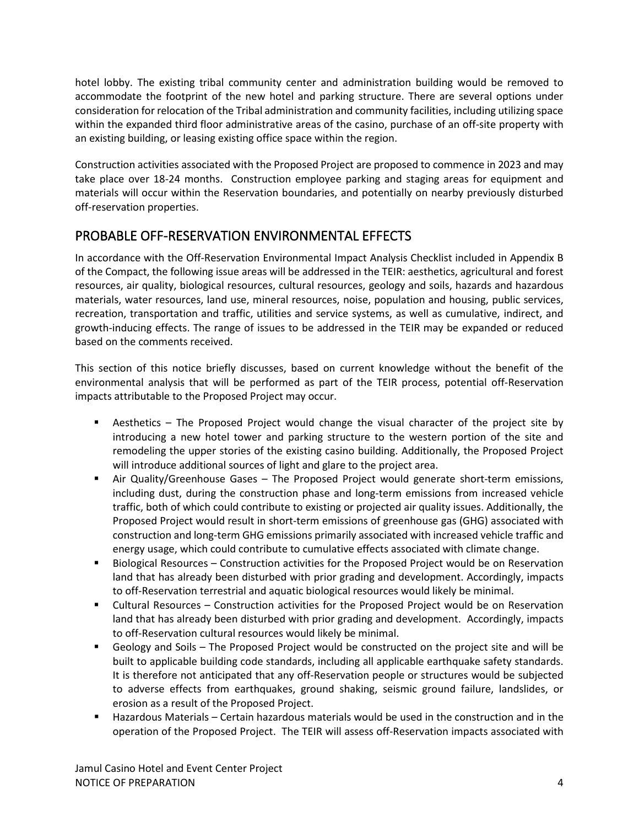hotel lobby. The existing tribal community center and administration building would be removed to accommodate the footprint of the new hotel and parking structure. There are several options under consideration for relocation of the Tribal administration and community facilities, including utilizing space within the expanded third floor administrative areas of the casino, purchase of an off-site property with an existing building, or leasing existing office space within the region.

Construction activities associated with the Proposed Project are proposed to commence in 2023 and may take place over 18-24 months. Construction employee parking and staging areas for equipment and materials will occur within the Reservation boundaries, and potentially on nearby previously disturbed off-reservation properties.

#### PROBABLE OFF-RESERVATION ENVIRONMENTAL EFFECTS

In accordance with the Off-Reservation Environmental Impact Analysis Checklist included in Appendix B of the Compact, the following issue areas will be addressed in the TEIR: aesthetics, agricultural and forest resources, air quality, biological resources, cultural resources, geology and soils, hazards and hazardous materials, water resources, land use, mineral resources, noise, population and housing, public services, recreation, transportation and traffic, utilities and service systems, as well as cumulative, indirect, and growth-inducing effects. The range of issues to be addressed in the TEIR may be expanded or reduced based on the comments received.

This section of this notice briefly discusses, based on current knowledge without the benefit of the environmental analysis that will be performed as part of the TEIR process, potential off-Reservation impacts attributable to the Proposed Project may occur.

- Aesthetics The Proposed Project would change the visual character of the project site by introducing a new hotel tower and parking structure to the western portion of the site and remodeling the upper stories of the existing casino building. Additionally, the Proposed Project will introduce additional sources of light and glare to the project area.
- Air Quality/Greenhouse Gases The Proposed Project would generate short-term emissions, including dust, during the construction phase and long-term emissions from increased vehicle traffic, both of which could contribute to existing or projected air quality issues. Additionally, the Proposed Project would result in short-term emissions of greenhouse gas (GHG) associated with construction and long-term GHG emissions primarily associated with increased vehicle traffic and energy usage, which could contribute to cumulative effects associated with climate change.
- Biological Resources Construction activities for the Proposed Project would be on Reservation land that has already been disturbed with prior grading and development. Accordingly, impacts to off-Reservation terrestrial and aquatic biological resources would likely be minimal.
- Cultural Resources Construction activities for the Proposed Project would be on Reservation land that has already been disturbed with prior grading and development. Accordingly, impacts to off-Reservation cultural resources would likely be minimal.
- Geology and Soils The Proposed Project would be constructed on the project site and will be built to applicable building code standards, including all applicable earthquake safety standards. It is therefore not anticipated that any off-Reservation people or structures would be subjected to adverse effects from earthquakes, ground shaking, seismic ground failure, landslides, or erosion as a result of the Proposed Project.
- Hazardous Materials Certain hazardous materials would be used in the construction and in the operation of the Proposed Project. The TEIR will assess off-Reservation impacts associated with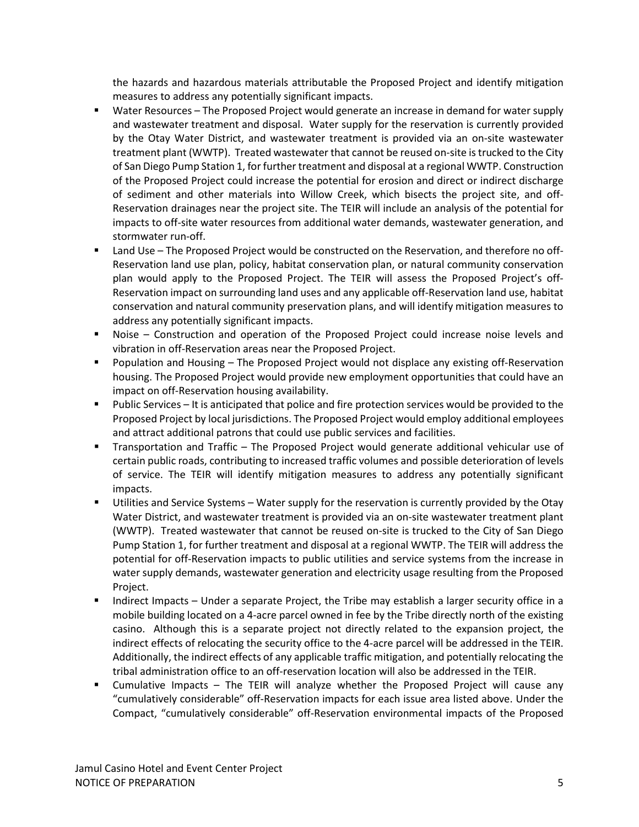the hazards and hazardous materials attributable the Proposed Project and identify mitigation measures to address any potentially significant impacts.

- Water Resources The Proposed Project would generate an increase in demand for water supply and wastewater treatment and disposal. Water supply for the reservation is currently provided by the Otay Water District, and wastewater treatment is provided via an on-site wastewater treatment plant (WWTP). Treated wastewater that cannot be reused on-site is trucked to the City of San Diego Pump Station 1, for further treatment and disposal at a regional WWTP. Construction of the Proposed Project could increase the potential for erosion and direct or indirect discharge of sediment and other materials into Willow Creek, which bisects the project site, and off-Reservation drainages near the project site. The TEIR will include an analysis of the potential for impacts to off-site water resources from additional water demands, wastewater generation, and stormwater run-off.
- Land Use The Proposed Project would be constructed on the Reservation, and therefore no off-Reservation land use plan, policy, habitat conservation plan, or natural community conservation plan would apply to the Proposed Project. The TEIR will assess the Proposed Project's off-Reservation impact on surrounding land uses and any applicable off-Reservation land use, habitat conservation and natural community preservation plans, and will identify mitigation measures to address any potentially significant impacts.
- Noise Construction and operation of the Proposed Project could increase noise levels and vibration in off-Reservation areas near the Proposed Project.
- Population and Housing The Proposed Project would not displace any existing off-Reservation housing. The Proposed Project would provide new employment opportunities that could have an impact on off-Reservation housing availability.
- **Public Services It is anticipated that police and fire protection services would be provided to the** Proposed Project by local jurisdictions. The Proposed Project would employ additional employees and attract additional patrons that could use public services and facilities.
- Transportation and Traffic The Proposed Project would generate additional vehicular use of certain public roads, contributing to increased traffic volumes and possible deterioration of levels of service. The TEIR will identify mitigation measures to address any potentially significant impacts.
- Utilities and Service Systems Water supply for the reservation is currently provided by the Otay Water District, and wastewater treatment is provided via an on-site wastewater treatment plant (WWTP). Treated wastewater that cannot be reused on-site is trucked to the City of San Diego Pump Station 1, for further treatment and disposal at a regional WWTP. The TEIR will address the potential for off-Reservation impacts to public utilities and service systems from the increase in water supply demands, wastewater generation and electricity usage resulting from the Proposed Project.
- Indirect Impacts Under a separate Project, the Tribe may establish a larger security office in a mobile building located on a 4-acre parcel owned in fee by the Tribe directly north of the existing casino. Although this is a separate project not directly related to the expansion project, the indirect effects of relocating the security office to the 4-acre parcel will be addressed in the TEIR. Additionally, the indirect effects of any applicable traffic mitigation, and potentially relocating the tribal administration office to an off-reservation location will also be addressed in the TEIR.
- Cumulative Impacts The TEIR will analyze whether the Proposed Project will cause any "cumulatively considerable" off-Reservation impacts for each issue area listed above. Under the Compact, "cumulatively considerable" off-Reservation environmental impacts of the Proposed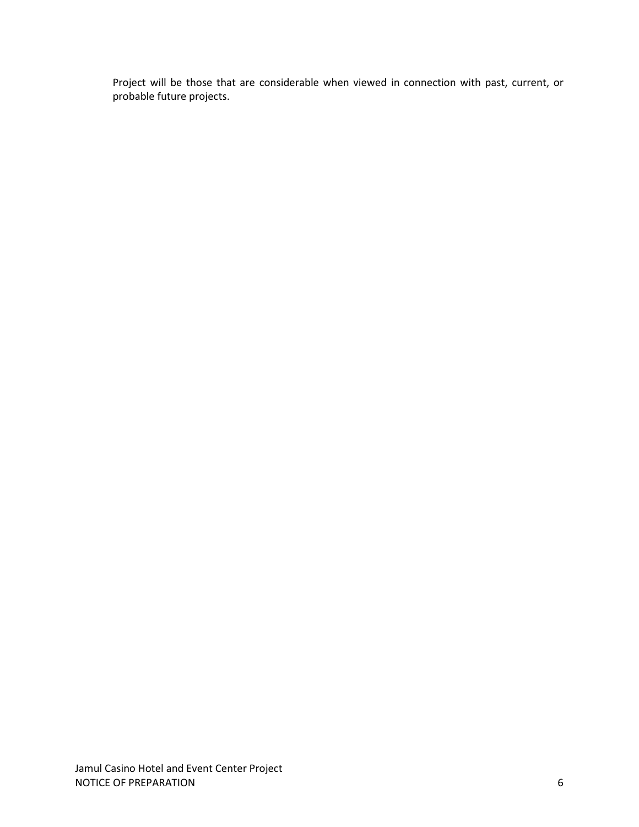Project will be those that are considerable when viewed in connection with past, current, or probable future projects.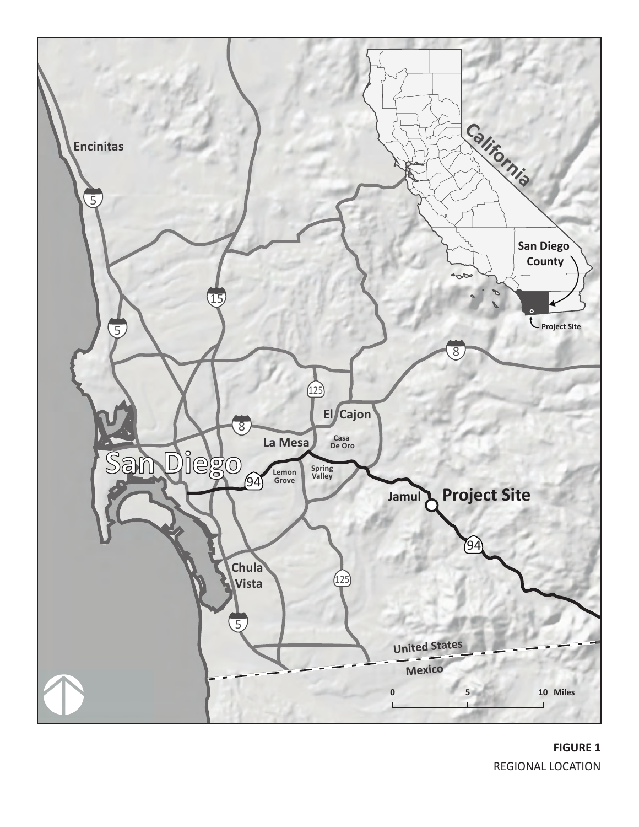

**FIGURE 1** REGIONAL LOCATION